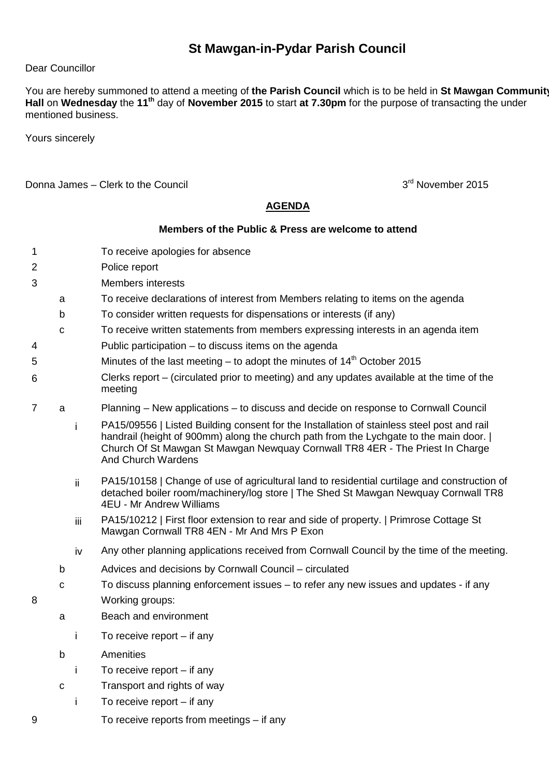## **St Mawgan-in-Pydar Parish Council**

## Dear Councillor

You are hereby summoned to attend a meeting of **the Parish Council** which is to be held in **St Mawgan Community Hall** on **Wednesday** the **11th** day of **November 2015** to start **at 7.30pm** for the purpose of transacting the under mentioned business.

Yours sincerely

Donna James – Clerk to the Council 3rd November 2015

## **AGENDA**

## **Members of the Public & Press are welcome to attend**

- 1 To receive apologies for absence
- 2 Police report
- 3 Members interests
	- a To receive declarations of interest from Members relating to items on the agenda
	- b To consider written requests for dispensations or interests (if any)
	- c To receive written statements from members expressing interests in an agenda item
- 4 Public participation to discuss items on the agenda
- 5 Minutes of the last meeting to adopt the minutes of  $14<sup>th</sup>$  October 2015
- 6 Clerks report – (circulated prior to meeting) and any updates available at the time of the meeting
- 7 a Planning New applications to discuss and decide on response to Cornwall Council
	- i PA15/09556 | Listed Building consent for the Installation of stainless steel post and rail handrail (height of 900mm) along the church path from the Lychgate to the main door. | Church Of St Mawgan St Mawgan Newquay Cornwall TR8 4ER - The Priest In Charge And Church Wardens
	- ii PA15/10158 | Change of use of agricultural land to residential curtilage and construction of detached boiler room/machinery/log store | The Shed St Mawgan Newquay Cornwall TR8 4EU - Mr Andrew Williams
	- iii PA15/10212 | First floor extension to rear and side of property. | Primrose Cottage St Mawgan Cornwall TR8 4EN - Mr And Mrs P Exon
	- iv Any other planning applications received from Cornwall Council by the time of the meeting.
	- b Advices and decisions by Cornwall Council circulated
- c To discuss planning enforcement issues to refer any new issues and updates if any 8 Working groups:
	- a Beach and environment
		- i To receive report if any
	- b Amenities
		- i To receive report if any
	- c Transport and rights of way
		- i To receive report if any
- 9 To receive reports from meetings if any
-